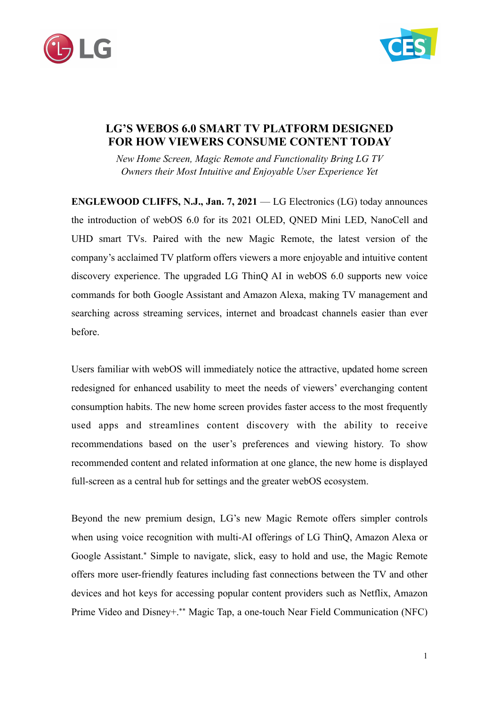



## **LG'S WEBOS 6.0 SMART TV PLATFORM DESIGNED FOR HOW VIEWERS CONSUME CONTENT TODAY**

*New Home Screen, Magic Remote and Functionality Bring LG TV Owners their Most Intuitive and Enjoyable User Experience Yet*

**ENGLEWOOD CLIFFS, N.J., Jan. 7, 2021** — LG Electronics (LG) today announces the introduction of webOS 6.0 for its 2021 OLED, QNED Mini LED, NanoCell and UHD smart TVs. Paired with the new Magic Remote, the latest version of the company's acclaimed TV platform offers viewers a more enjoyable and intuitive content discovery experience. The upgraded LG ThinQ AI in webOS 6.0 supports new voice commands for both Google Assistant and Amazon Alexa, making TV management and searching across streaming services, internet and broadcast channels easier than ever before.

Users familiar with webOS will immediately notice the attractive, updated home screen redesigned for enhanced usability to meet the needs of viewers' everchanging content consumption habits. The new home screen provides faster access to the most frequently used apps and streamlines content discovery with the ability to receive recommendations based on the user's preferences and viewing history. To show recommended content and related information at one glance, the new home is displayed full-screen as a central hub for settings and the greater webOS ecosystem.

Beyond the new premium design, LG's new Magic Remote offers simpler controls when using voice recognition with multi-AI offerings of LG ThinQ, Amazon Alexa or Google Assistant.\* Simple to navigate, slick, easy to hold and use, the Magic Remote offers more user-friendly features including fast connections between the TV and other devices and hot keys for accessing popular content providers such as Netflix, Amazon Prime Video and Disney+.\*\* Magic Tap, a one-touch Near Field Communication (NFC)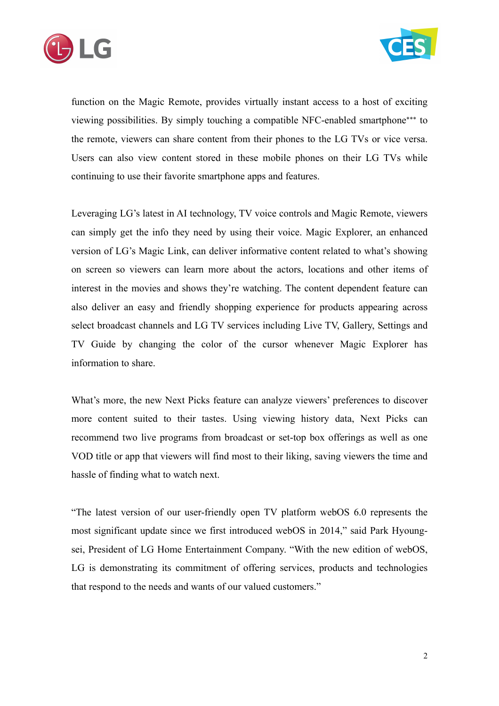



function on the Magic Remote, provides virtually instant access to a host of exciting viewing possibilities. By simply touching a compatible NFC-enabled smartphone\*\*\* to the remote, viewers can share content from their phones to the LG TVs or vice versa. Users can also view content stored in these mobile phones on their LG TVs while continuing to use their favorite smartphone apps and features.

Leveraging LG's latest in AI technology, TV voice controls and Magic Remote, viewers can simply get the info they need by using their voice. Magic Explorer, an enhanced version of LG's Magic Link, can deliver informative content related to what's showing on screen so viewers can learn more about the actors, locations and other items of interest in the movies and shows they're watching. The content dependent feature can also deliver an easy and friendly shopping experience for products appearing across select broadcast channels and LG TV services including Live TV, Gallery, Settings and TV Guide by changing the color of the cursor whenever Magic Explorer has information to share.

What's more, the new Next Picks feature can analyze viewers' preferences to discover more content suited to their tastes. Using viewing history data, Next Picks can recommend two live programs from broadcast or set-top box offerings as well as one VOD title or app that viewers will find most to their liking, saving viewers the time and hassle of finding what to watch next.

"The latest version of our user-friendly open TV platform webOS 6.0 represents the most significant update since we first introduced webOS in 2014," said Park Hyoungsei, President of LG Home Entertainment Company. "With the new edition of webOS, LG is demonstrating its commitment of offering services, products and technologies that respond to the needs and wants of our valued customers."